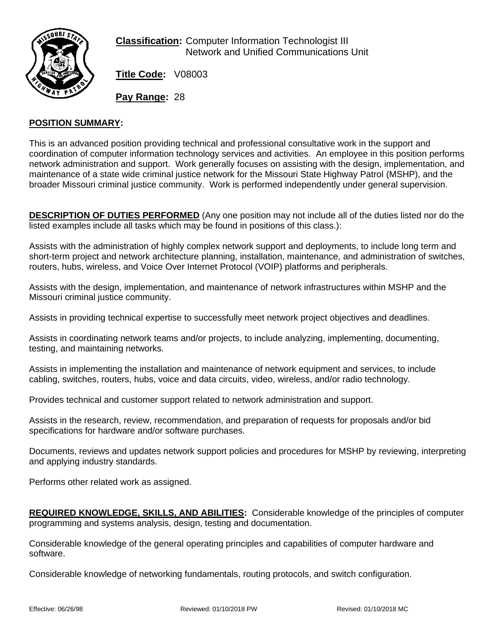

**Classification:** Computer Information Technologist III Network and Unified Communications Unit

**Title Code:** V08003

**Pay Range:** 28

## **POSITION SUMMARY:**

This is an advanced position providing technical and professional consultative work in the support and coordination of computer information technology services and activities. An employee in this position performs network administration and support. Work generally focuses on assisting with the design, implementation, and maintenance of a state wide criminal justice network for the Missouri State Highway Patrol (MSHP), and the broader Missouri criminal justice community. Work is performed independently under general supervision.

**DESCRIPTION OF DUTIES PERFORMED** (Any one position may not include all of the duties listed nor do the listed examples include all tasks which may be found in positions of this class.):

Assists with the administration of highly complex network support and deployments, to include long term and short-term project and network architecture planning, installation, maintenance, and administration of switches, routers, hubs, wireless, and Voice Over Internet Protocol (VOIP) platforms and peripherals.

Assists with the design, implementation, and maintenance of network infrastructures within MSHP and the Missouri criminal justice community.

Assists in providing technical expertise to successfully meet network project objectives and deadlines.

Assists in coordinating network teams and/or projects, to include analyzing, implementing, documenting, testing, and maintaining networks.

Assists in implementing the installation and maintenance of network equipment and services, to include cabling, switches, routers, hubs, voice and data circuits, video, wireless, and/or radio technology.

Provides technical and customer support related to network administration and support.

Assists in the research, review, recommendation, and preparation of requests for proposals and/or bid specifications for hardware and/or software purchases.

Documents, reviews and updates network support policies and procedures for MSHP by reviewing, interpreting and applying industry standards.

Performs other related work as assigned.

**REQUIRED KNOWLEDGE, SKILLS, AND ABILITIES:** Considerable knowledge of the principles of computer programming and systems analysis, design, testing and documentation.

Considerable knowledge of the general operating principles and capabilities of computer hardware and software.

Considerable knowledge of networking fundamentals, routing protocols, and switch configuration.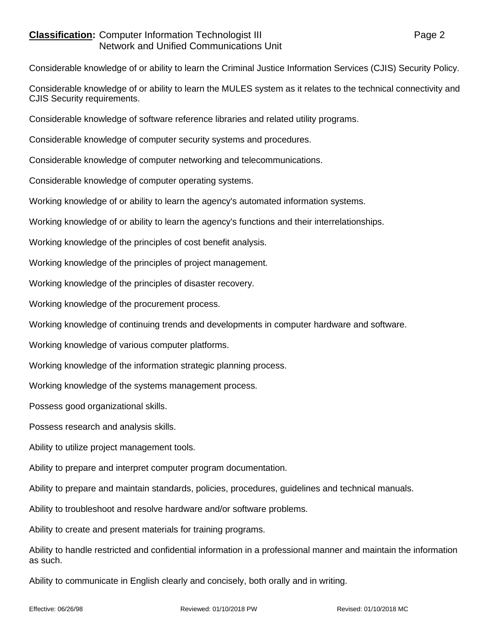## **Classification:** Computer Information Technologist III **Classification:** Page 2 Network and Unified Communications Unit

Considerable knowledge of or ability to learn the Criminal Justice Information Services (CJIS) Security Policy.

Considerable knowledge of or ability to learn the MULES system as it relates to the technical connectivity and CJIS Security requirements.

Considerable knowledge of software reference libraries and related utility programs.

Considerable knowledge of computer security systems and procedures.

Considerable knowledge of computer networking and telecommunications.

Considerable knowledge of computer operating systems.

Working knowledge of or ability to learn the agency's automated information systems.

Working knowledge of or ability to learn the agency's functions and their interrelationships.

Working knowledge of the principles of cost benefit analysis.

Working knowledge of the principles of project management.

Working knowledge of the principles of disaster recovery.

Working knowledge of the procurement process.

Working knowledge of continuing trends and developments in computer hardware and software.

Working knowledge of various computer platforms.

Working knowledge of the information strategic planning process.

Working knowledge of the systems management process.

Possess good organizational skills.

Possess research and analysis skills.

Ability to utilize project management tools.

Ability to prepare and interpret computer program documentation.

Ability to prepare and maintain standards, policies, procedures, guidelines and technical manuals.

Ability to troubleshoot and resolve hardware and/or software problems.

Ability to create and present materials for training programs.

Ability to handle restricted and confidential information in a professional manner and maintain the information as such.

Ability to communicate in English clearly and concisely, both orally and in writing.